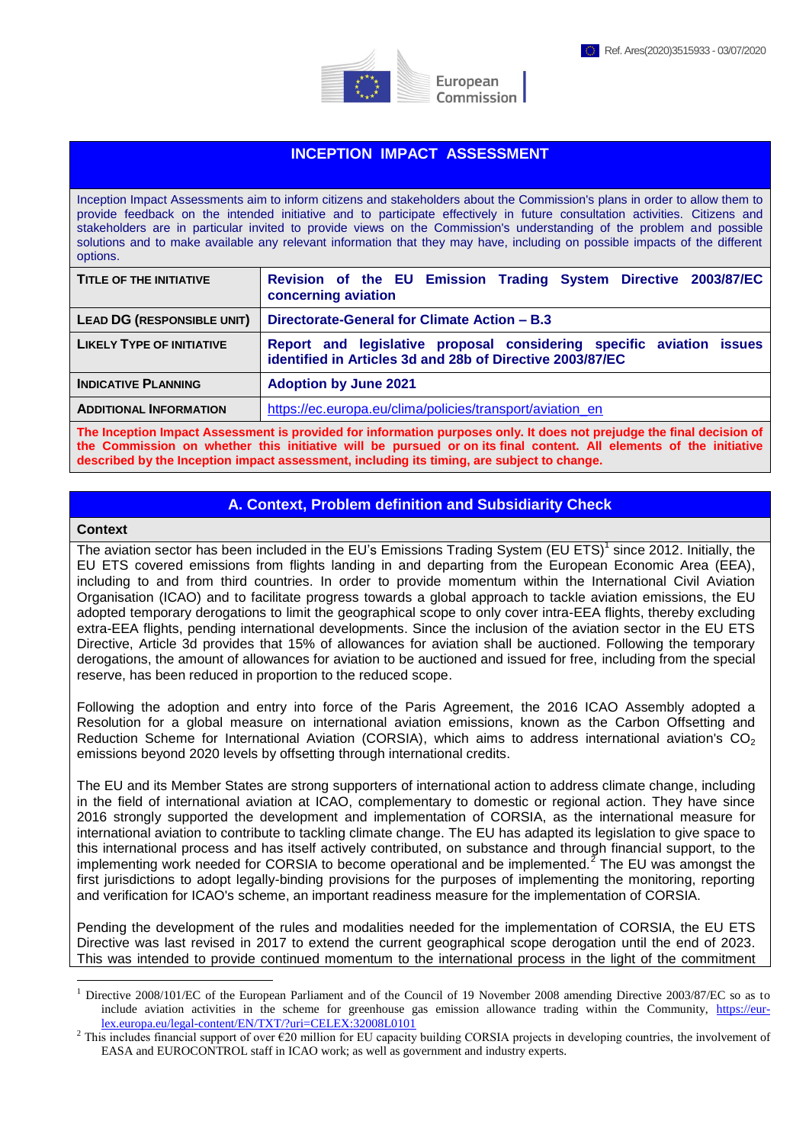

#### **INCEPTION IMPACT ASSESSMENT**

Inception Impact Assessments aim to inform citizens and stakeholders about the Commission's plans in order to allow them to provide feedback on the intended initiative and to participate effectively in future consultation activities. Citizens and stakeholders are in particular invited to provide views on the Commission's understanding of the problem and possible solutions and to make available any relevant information that they may have, including on possible impacts of the different options.

| Revision of the EU Emission Trading System Directive 2003/87/EC<br>concerning aviation                                            |
|-----------------------------------------------------------------------------------------------------------------------------------|
| Directorate-General for Climate Action – B.3                                                                                      |
| Report and legislative proposal considering specific aviation issues<br>identified in Articles 3d and 28b of Directive 2003/87/EC |
| <b>Adoption by June 2021</b>                                                                                                      |
| https://ec.europa.eu/clima/policies/transport/aviation en                                                                         |
|                                                                                                                                   |

**The Inception Impact Assessment is provided for information purposes only. It does not prejudge the final decision of the Commission on whether this initiative will be pursued or on its final content. All elements of the initiative described by the Inception impact assessment, including its timing, are subject to change.**

#### **A. Context, Problem definition and Subsidiarity Check**

#### **Context**

<u>.</u>

The aviation sector has been included in the EU's Emissions Trading System (EU ETS)<sup>1</sup> since 2012. Initially, the EU ETS covered emissions from flights landing in and departing from the European Economic Area (EEA), including to and from third countries. In order to provide momentum within the International Civil Aviation Organisation (ICAO) and to facilitate progress towards a global approach to tackle aviation emissions, the EU adopted temporary derogations to limit the geographical scope to only cover intra-EEA flights, thereby excluding extra-EEA flights, pending international developments. Since the inclusion of the aviation sector in the EU ETS Directive, Article 3d provides that 15% of allowances for aviation shall be auctioned. Following the temporary derogations, the amount of allowances for aviation to be auctioned and issued for free, including from the special reserve, has been reduced in proportion to the reduced scope.

Following the adoption and entry into force of the Paris Agreement, the 2016 ICAO Assembly adopted a Resolution for a global measure on international aviation emissions, known as the Carbon Offsetting and Reduction Scheme for International Aviation (CORSIA), which aims to address international aviation's  $CO<sub>2</sub>$ emissions beyond 2020 levels by offsetting through international credits.

The EU and its Member States are strong supporters of international action to address climate change, including in the field of international aviation at ICAO, complementary to domestic or regional action. They have since 2016 strongly supported the development and implementation of CORSIA, as the international measure for international aviation to contribute to tackling climate change. The EU has adapted its legislation to give space to this international process and has itself actively contributed, on substance and through financial support, to the implementing work needed for CORSIA to become operational and be implemented.<sup>2</sup> The EU was amongst the first jurisdictions to adopt legally-binding provisions for the purposes of implementing the monitoring, reporting and verification for ICAO's scheme, an important readiness measure for the implementation of CORSIA.

Pending the development of the rules and modalities needed for the implementation of CORSIA, the EU ETS Directive was last revised in 2017 to extend the current geographical scope derogation until the end of 2023. This was intended to provide continued momentum to the international process in the light of the commitment

<sup>1</sup> Directive 2008/101/EC of the European Parliament and of the Council of 19 November 2008 amending Directive 2003/87/EC so as to include aviation activities in the scheme for greenhouse gas emission allowance trading within the Community, [https://eur](https://eur-lex.europa.eu/legal-content/EN/TXT/?uri=CELEX:32008L0101)[lex.europa.eu/legal-content/EN/TXT/?uri=CELEX:32008L0101](https://eur-lex.europa.eu/legal-content/EN/TXT/?uri=CELEX:32008L0101)

<sup>&</sup>lt;sup>2</sup> This includes financial support of over  $\epsilon$ 20 million for EU capacity building CORSIA projects in developing countries, the involvement of EASA and EUROCONTROL staff in ICAO work; as well as government and industry experts.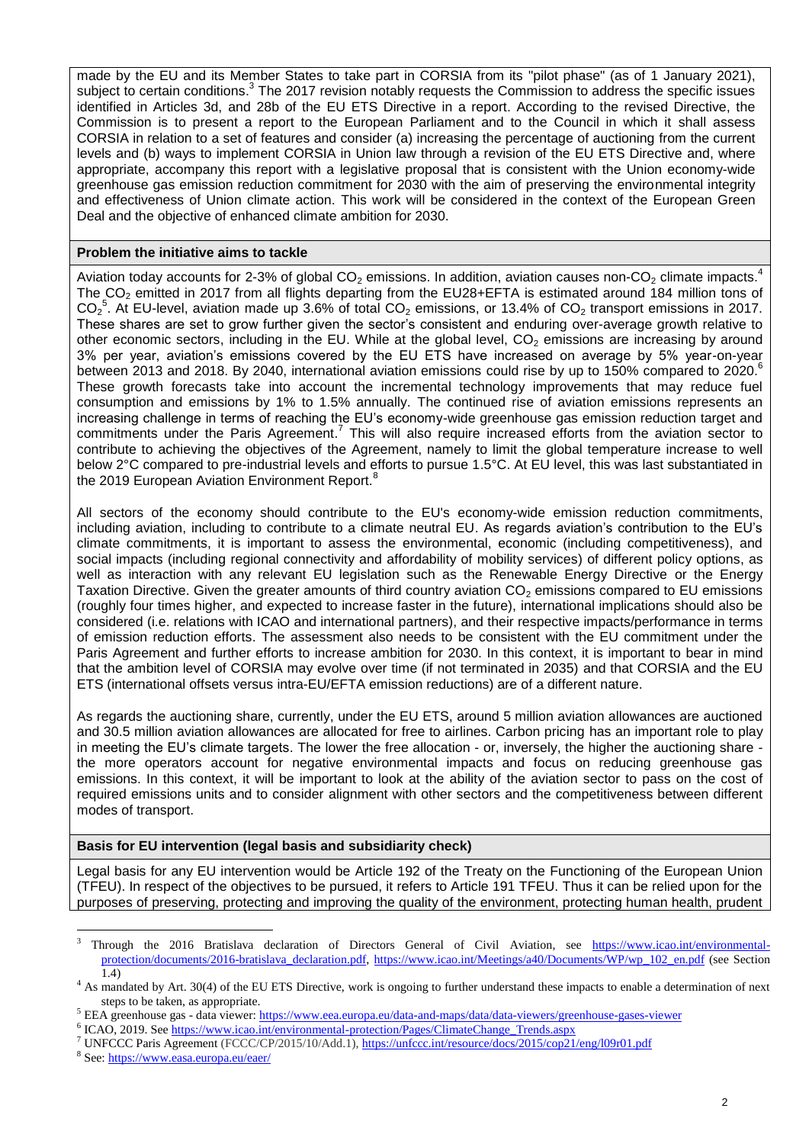made by the EU and its Member States to take part in CORSIA from its "pilot phase" (as of 1 January 2021), subject to certain conditions.<sup>3</sup> The 2017 revision notably requests the Commission to address the specific issues identified in Articles 3d, and 28b of the EU ETS Directive in a report. According to the revised Directive, the Commission is to present a report to the European Parliament and to the Council in which it shall assess CORSIA in relation to a set of features and consider (a) increasing the percentage of auctioning from the current levels and (b) ways to implement CORSIA in Union law through a revision of the EU ETS Directive and, where appropriate, accompany this report with a legislative proposal that is consistent with the Union economy-wide greenhouse gas emission reduction commitment for 2030 with the aim of preserving the environmental integrity and effectiveness of Union climate action. This work will be considered in the context of the European Green Deal and the objective of enhanced climate ambition for 2030.

#### **Problem the initiative aims to tackle**

Aviation today accounts for 2-3% of global  $CO_2$  emissions. In addition, aviation causes non-CO<sub>2</sub> climate impacts.<sup>4</sup> The CO<sub>2</sub> emitted in 2017 from all flights departing from the EU28+EFTA is estimated around 184 million tons of  $CO_2^5$ . At EU-level, aviation made up 3.6% of total  $CO_2$  emissions, or 13.4% of  $CO_2$  transport emissions in 2017. These shares are set to grow further given the sector's consistent and enduring over-average growth relative to other economic sectors, including in the EU. While at the global level,  $CO<sub>2</sub>$  emissions are increasing by around 3% per year, aviation's emissions covered by the EU ETS have increased on average by 5% year-on-year between 2013 and 2018. By 2040, international aviation emissions could rise by up to 150% compared to 2020.<sup>6</sup> These growth forecasts take into account the incremental technology improvements that may reduce fuel consumption and emissions by 1% to 1.5% annually. The continued rise of aviation emissions represents an increasing challenge in terms of reaching the EU's economy-wide greenhouse gas emission reduction target and commitments under the Paris Agreement.<sup>7</sup> This will also require increased efforts from the aviation sector to contribute to achieving the objectives of the Agreement, namely to limit the global temperature increase to well below 2°C compared to pre-industrial levels and efforts to pursue 1.5°C. At EU level, this was last substantiated in the 2019 European Aviation Environment Report.<sup>8</sup>

All sectors of the economy should contribute to the EU's economy-wide emission reduction commitments, including aviation, including to contribute to a climate neutral EU. As regards aviation's contribution to the EU's climate commitments, it is important to assess the environmental, economic (including competitiveness), and social impacts (including regional connectivity and affordability of mobility services) of different policy options, as well as interaction with any relevant EU legislation such as the Renewable Energy Directive or the Energy Taxation Directive. Given the greater amounts of third country aviation  $CO<sub>2</sub>$  emissions compared to EU emissions (roughly four times higher, and expected to increase faster in the future), international implications should also be considered (i.e. relations with ICAO and international partners), and their respective impacts/performance in terms of emission reduction efforts. The assessment also needs to be consistent with the EU commitment under the Paris Agreement and further efforts to increase ambition for 2030. In this context, it is important to bear in mind that the ambition level of CORSIA may evolve over time (if not terminated in 2035) and that CORSIA and the EU ETS (international offsets versus intra-EU/EFTA emission reductions) are of a different nature.

As regards the auctioning share, currently, under the EU ETS, around 5 million aviation allowances are auctioned and 30.5 million aviation allowances are allocated for free to airlines. Carbon pricing has an important role to play in meeting the EU's climate targets. The lower the free allocation - or, inversely, the higher the auctioning share the more operators account for negative environmental impacts and focus on reducing greenhouse gas emissions. In this context, it will be important to look at the ability of the aviation sector to pass on the cost of required emissions units and to consider alignment with other sectors and the competitiveness between different modes of transport.

# **Basis for EU intervention (legal basis and subsidiarity check)**

Legal basis for any EU intervention would be Article 192 of the Treaty on the Functioning of the European Union (TFEU). In respect of the objectives to be pursued, it refers to Article 191 TFEU. Thus it can be relied upon for the purposes of preserving, protecting and improving the quality of the environment, protecting human health, prudent

<u>.</u>

<sup>3</sup> Through the 2016 Bratislava declaration of Directors General of Civil Aviation, see [https://www.icao.int/environmental](https://www.icao.int/environmental-protection/documents/2016-bratislava_declaration.pdf)[protection/documents/2016-bratislava\\_declaration.pdf,](https://www.icao.int/environmental-protection/documents/2016-bratislava_declaration.pdf) [https://www.icao.int/Meetings/a40/Documents/WP/wp\\_102\\_en.pdf](https://www.icao.int/Meetings/a40/Documents/WP/wp_102_en.pdf) (see Section  $(1.4)$ 

<sup>&</sup>lt;sup>4</sup> As mandated by Art. 30(4) of the EU ETS Directive, work is ongoing to further understand these impacts to enable a determination of next steps to be taken, as appropriate.

<sup>&</sup>lt;sup>5</sup> EEA greenhouse gas - data viewer: https://www.eea.europa.eu/data-and-maps/data/data-viewers[/greenhouse-](https://www.eea.europa.eu/data-and-maps/data/data-viewers/greenhouse-gases-viewer)gases-viewer

<sup>&</sup>lt;sup>6</sup> ICAO, 2019. See [https://www.icao.int/environmental-protection/Pages/ClimateChange\\_Trends.aspx](https://www.icao.int/environmental-protection/Pages/ClimateChange_Trends.aspx)

<sup>7</sup> UNFCCC Paris Agreement (FCCC/CP/2015/10/Add.1)[, https://unfccc.int/resource/docs/2015/cop21/eng/l09r01.pdf](https://unfccc.int/resource/docs/2015/cop21/eng/l09r01.pdf)

<sup>&</sup>lt;sup>8</sup> See[: https://www.easa.europa.eu/eaer/](https://www.easa.europa.eu/eaer/)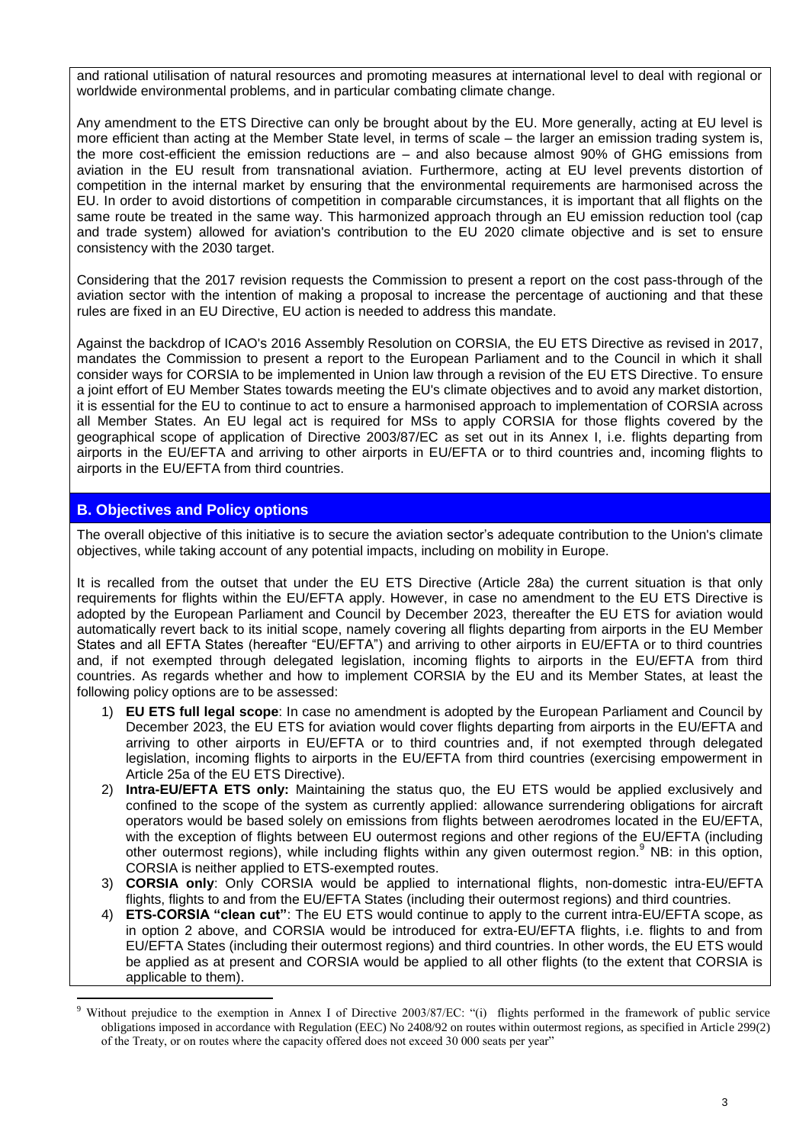and rational utilisation of natural resources and promoting measures at international level to deal with regional or worldwide environmental problems, and in particular combating climate change.

Any amendment to the ETS Directive can only be brought about by the EU. More generally, acting at EU level is more efficient than acting at the Member State level, in terms of scale – the larger an emission trading system is, the more cost-efficient the emission reductions are – and also because almost 90% of GHG emissions from aviation in the EU result from transnational aviation. Furthermore, acting at EU level prevents distortion of competition in the internal market by ensuring that the environmental requirements are harmonised across the EU. In order to avoid distortions of competition in comparable circumstances, it is important that all flights on the same route be treated in the same way. This harmonized approach through an EU emission reduction tool (cap and trade system) allowed for aviation's contribution to the EU 2020 climate objective and is set to ensure consistency with the 2030 target.

Considering that the 2017 revision requests the Commission to present a report on the cost pass-through of the aviation sector with the intention of making a proposal to increase the percentage of auctioning and that these rules are fixed in an EU Directive, EU action is needed to address this mandate.

Against the backdrop of ICAO's 2016 Assembly Resolution on CORSIA, the EU ETS Directive as revised in 2017, mandates the Commission to present a report to the European Parliament and to the Council in which it shall consider ways for CORSIA to be implemented in Union law through a revision of the EU ETS Directive. To ensure a joint effort of EU Member States towards meeting the EU's climate objectives and to avoid any market distortion, it is essential for the EU to continue to act to ensure a harmonised approach to implementation of CORSIA across all Member States. An EU legal act is required for MSs to apply CORSIA for those flights covered by the geographical scope of application of Directive 2003/87/EC as set out in its Annex I, i.e. flights departing from airports in the EU/EFTA and arriving to other airports in EU/EFTA or to third countries and, incoming flights to airports in the EU/EFTA from third countries.

# **B. Objectives and Policy options**

1

The overall objective of this initiative is to secure the aviation sector's adequate contribution to the Union's climate objectives, while taking account of any potential impacts, including on mobility in Europe.

It is recalled from the outset that under the EU ETS Directive (Article 28a) the current situation is that only requirements for flights within the EU/EFTA apply. However, in case no amendment to the EU ETS Directive is adopted by the European Parliament and Council by December 2023, thereafter the EU ETS for aviation would automatically revert back to its initial scope, namely covering all flights departing from airports in the EU Member States and all EFTA States (hereafter "EU/EFTA") and arriving to other airports in EU/EFTA or to third countries and, if not exempted through delegated legislation, incoming flights to airports in the EU/EFTA from third countries. As regards whether and how to implement CORSIA by the EU and its Member States, at least the following policy options are to be assessed:

- 1) **EU ETS full legal scope**: In case no amendment is adopted by the European Parliament and Council by December 2023, the EU ETS for aviation would cover flights departing from airports in the EU/EFTA and arriving to other airports in EU/EFTA or to third countries and, if not exempted through delegated legislation, incoming flights to airports in the EU/EFTA from third countries (exercising empowerment in Article 25a of the EU ETS Directive).
- 2) **Intra-EU/EFTA ETS only:** Maintaining the status quo, the EU ETS would be applied exclusively and confined to the scope of the system as currently applied: allowance surrendering obligations for aircraft operators would be based solely on emissions from flights between aerodromes located in the EU/EFTA, with the exception of flights between EU outermost regions and other regions of the EU/EFTA (including other outermost regions), while including flights within any given outermost region.<sup>9</sup> NB: in this option, CORSIA is neither applied to ETS-exempted routes.
- 3) **CORSIA only**: Only CORSIA would be applied to international flights, non-domestic intra-EU/EFTA flights, flights to and from the EU/EFTA States (including their outermost regions) and third countries.
- 4) **ETS-CORSIA "clean cut"**: The EU ETS would continue to apply to the current intra-EU/EFTA scope, as in option 2 above, and CORSIA would be introduced for extra-EU/EFTA flights, i.e. flights to and from EU/EFTA States (including their outermost regions) and third countries. In other words, the EU ETS would be applied as at present and CORSIA would be applied to all other flights (to the extent that CORSIA is applicable to them).

<sup>&</sup>lt;sup>9</sup> Without prejudice to the exemption in Annex I of Directive 2003/87/EC: "(i) flights performed in the framework of public service obligations imposed in accordance with Regulation (EEC) No 2408/92 on routes within outermost regions, as specified in Article 299(2) of the Treaty, or on routes where the capacity offered does not exceed 30 000 seats per year"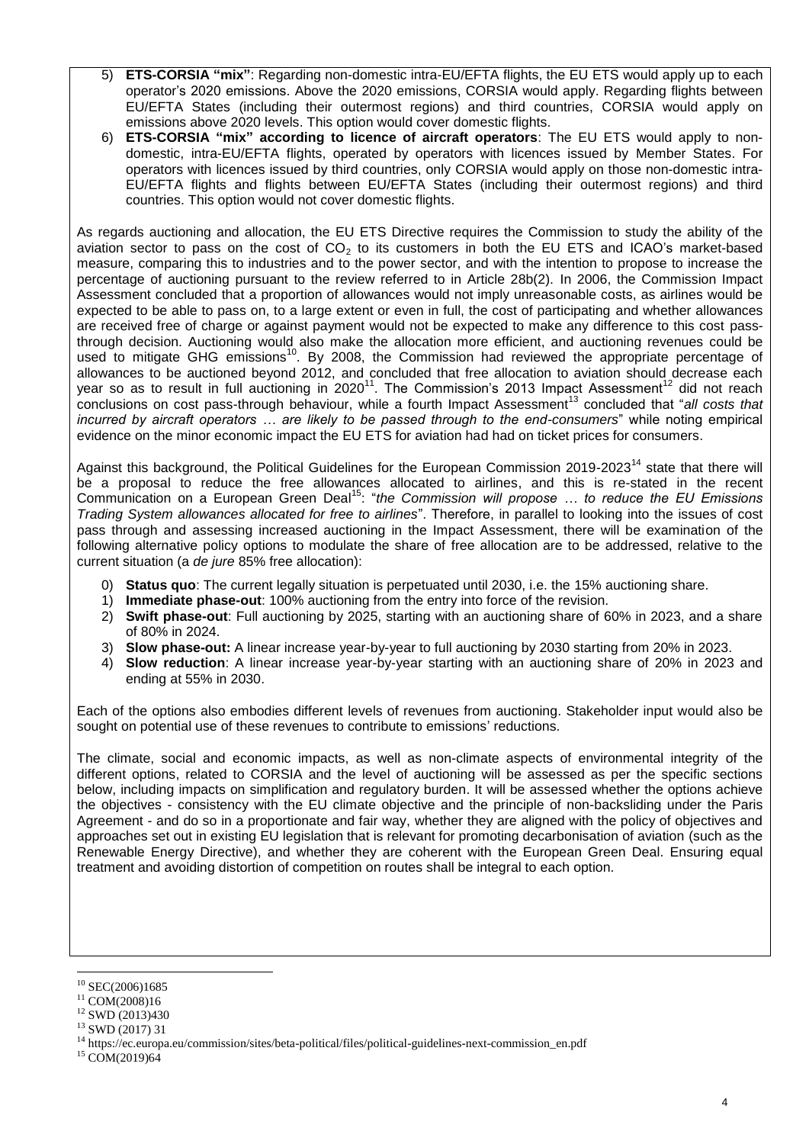- 5) **ETS-CORSIA "mix"**: Regarding non-domestic intra-EU/EFTA flights, the EU ETS would apply up to each operator's 2020 emissions. Above the 2020 emissions, CORSIA would apply. Regarding flights between EU/EFTA States (including their outermost regions) and third countries, CORSIA would apply on emissions above 2020 levels. This option would cover domestic flights.
- 6) **ETS-CORSIA "mix" according to licence of aircraft operators**: The EU ETS would apply to nondomestic, intra-EU/EFTA flights, operated by operators with licences issued by Member States. For operators with licences issued by third countries, only CORSIA would apply on those non-domestic intra-EU/EFTA flights and flights between EU/EFTA States (including their outermost regions) and third countries. This option would not cover domestic flights.

As regards auctioning and allocation, the EU ETS Directive requires the Commission to study the ability of the aviation sector to pass on the cost of  $CO<sub>2</sub>$  to its customers in both the EU ETS and ICAO's market-based measure, comparing this to industries and to the power sector, and with the intention to propose to increase the percentage of auctioning pursuant to the review referred to in Article 28b(2). In 2006, the Commission Impact Assessment concluded that a proportion of allowances would not imply unreasonable costs, as airlines would be expected to be able to pass on, to a large extent or even in full, the cost of participating and whether allowances are received free of charge or against payment would not be expected to make any difference to this cost passthrough decision. Auctioning would also make the allocation more efficient, and auctioning revenues could be used to mitigate GHG emissions<sup>10</sup>. By 2008, the Commission had reviewed the appropriate percentage of allowances to be auctioned beyond 2012, and concluded that free allocation to aviation should decrease each year so as to result in full auctioning in 2020<sup>11</sup>. The Commission's 2013 Impact Assessment<sup>12</sup> did not reach conclusions on cost pass-through behaviour, while a fourth Impact Assessment<sup>13</sup> concluded that "*all costs that incurred by aircraft operators … are likely to be passed through to the end-consumers*" while noting empirical evidence on the minor economic impact the EU ETS for aviation had had on ticket prices for consumers.

Against this background, the Political Guidelines for the European Commission 2019-2023<sup>14</sup> state that there will be a proposal to reduce the free allowances allocated to airlines, and this is re-stated in the recent Communication on a European Green Deal <sup>15</sup>: "*the Commission will propose … to reduce the EU Emissions Trading System allowances allocated for free to airlines*". Therefore, in parallel to looking into the issues of cost pass through and assessing increased auctioning in the Impact Assessment, there will be examination of the following alternative policy options to modulate the share of free allocation are to be addressed, relative to the current situation (a *de jure* 85% free allocation):

- 0) **Status quo**: The current legally situation is perpetuated until 2030, i.e. the 15% auctioning share.
- 1) **Immediate phase-out**: 100% auctioning from the entry into force of the revision.
- 2) **Swift phase-out**: Full auctioning by 2025, starting with an auctioning share of 60% in 2023, and a share of 80% in 2024.
- 3) **Slow phase-out:** A linear increase year-by-year to full auctioning by 2030 starting from 20% in 2023.
- 4) **Slow reduction**: A linear increase year-by-year starting with an auctioning share of 20% in 2023 and ending at 55% in 2030.

Each of the options also embodies different levels of revenues from auctioning. Stakeholder input would also be sought on potential use of these revenues to contribute to emissions' reductions.

The climate, social and economic impacts, as well as non-climate aspects of environmental integrity of the different options, related to CORSIA and the level of auctioning will be assessed as per the specific sections below, including impacts on simplification and regulatory burden. It will be assessed whether the options achieve the objectives - consistency with the EU climate objective and the principle of non-backsliding under the Paris Agreement - and do so in a proportionate and fair way, whether they are aligned with the policy of objectives and approaches set out in existing EU legislation that is relevant for promoting decarbonisation of aviation (such as the Renewable Energy Directive), and whether they are coherent with the European Green Deal. Ensuring equal treatment and avoiding distortion of competition on routes shall be integral to each option.

<sup>1</sup>  $10$  SEC(2006)1685

 $11$  COM(2008)16

 $12$  SWD (2013)430

<sup>13</sup> SWD (2017) 31

<sup>14</sup> https://ec.europa.eu/commission/sites/beta-political/files/political-guidelines-next-commission\_en.pdf

<sup>&</sup>lt;sup>15</sup> COM(2019)64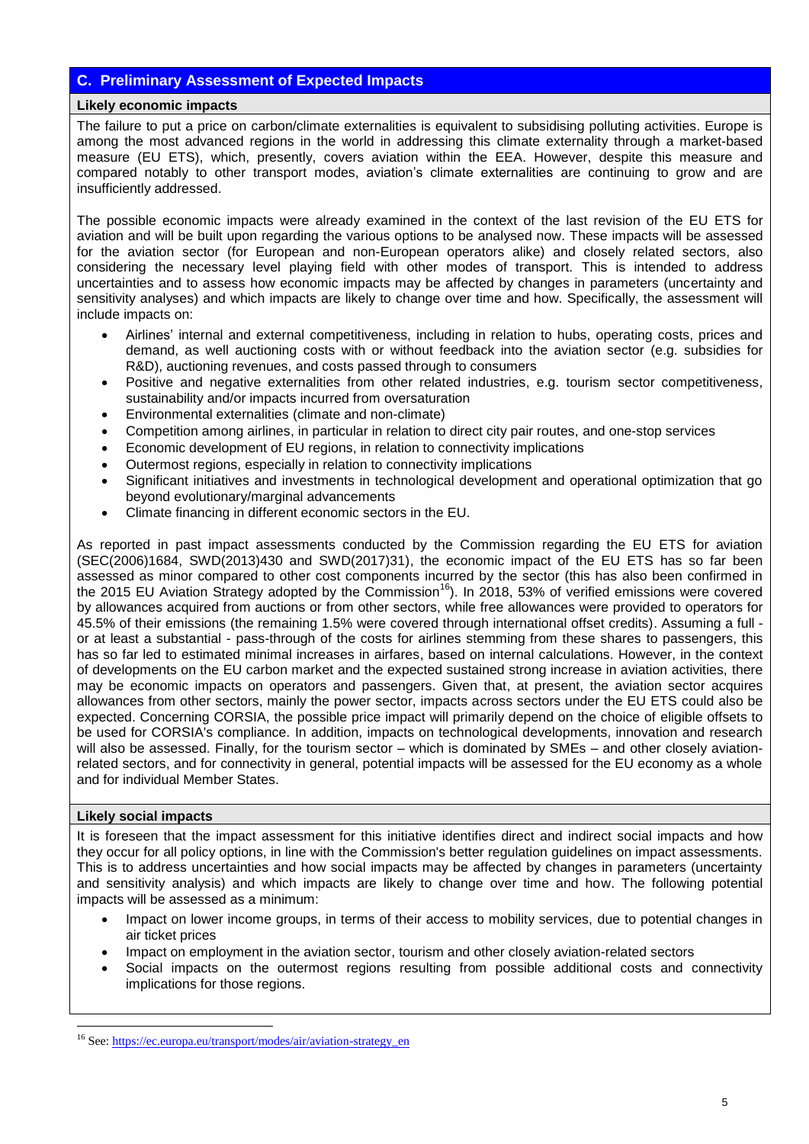# **C. Preliminary Assessment of Expected Impacts**

#### **Likely economic impacts**

The failure to put a price on carbon/climate externalities is equivalent to subsidising polluting activities. Europe is among the most advanced regions in the world in addressing this climate externality through a market-based measure (EU ETS), which, presently, covers aviation within the EEA. However, despite this measure and compared notably to other transport modes, aviation's climate externalities are continuing to grow and are insufficiently addressed.

The possible economic impacts were already examined in the context of the last revision of the EU ETS for aviation and will be built upon regarding the various options to be analysed now. These impacts will be assessed for the aviation sector (for European and non-European operators alike) and closely related sectors, also considering the necessary level playing field with other modes of transport. This is intended to address uncertainties and to assess how economic impacts may be affected by changes in parameters (uncertainty and sensitivity analyses) and which impacts are likely to change over time and how. Specifically, the assessment will include impacts on:

- Airlines' internal and external competitiveness, including in relation to hubs, operating costs, prices and demand, as well auctioning costs with or without feedback into the aviation sector (e.g. subsidies for R&D), auctioning revenues, and costs passed through to consumers
- Positive and negative externalities from other related industries, e.g. tourism sector competitiveness, sustainability and/or impacts incurred from oversaturation
- Environmental externalities (climate and non-climate)
- Competition among airlines, in particular in relation to direct city pair routes, and one-stop services
- Economic development of EU regions, in relation to connectivity implications
- Outermost regions, especially in relation to connectivity implications
- Significant initiatives and investments in technological development and operational optimization that go beyond evolutionary/marginal advancements
- Climate financing in different economic sectors in the EU.

As reported in past impact assessments conducted by the Commission regarding the EU ETS for aviation (SEC(2006)1684, SWD(2013)430 and SWD(2017)31), the economic impact of the EU ETS has so far been assessed as minor compared to other cost components incurred by the sector (this has also been confirmed in the 2015 EU Aviation Strategy adopted by the Commission<sup>16</sup>). In 2018, 53% of verified emissions were covered by allowances acquired from auctions or from other sectors, while free allowances were provided to operators for 45.5% of their emissions (the remaining 1.5% were covered through international offset credits). Assuming a full or at least a substantial - pass-through of the costs for airlines stemming from these shares to passengers, this has so far led to estimated minimal increases in airfares, based on internal calculations. However, in the context of developments on the EU carbon market and the expected sustained strong increase in aviation activities, there may be economic impacts on operators and passengers. Given that, at present, the aviation sector acquires allowances from other sectors, mainly the power sector, impacts across sectors under the EU ETS could also be expected. Concerning CORSIA, the possible price impact will primarily depend on the choice of eligible offsets to be used for CORSIA's compliance. In addition, impacts on technological developments, innovation and research will also be assessed. Finally, for the tourism sector – which is dominated by SMEs – and other closely aviationrelated sectors, and for connectivity in general, potential impacts will be assessed for the EU economy as a whole and for individual Member States.

# **Likely social impacts**

<u>.</u>

It is foreseen that the impact assessment for this initiative identifies direct and indirect social impacts and how they occur for all policy options, in line with the Commission's better regulation guidelines on impact assessments. This is to address uncertainties and how social impacts may be affected by changes in parameters (uncertainty and sensitivity analysis) and which impacts are likely to change over time and how. The following potential impacts will be assessed as a minimum:

- Impact on lower income groups, in terms of their access to mobility services, due to potential changes in air ticket prices
- Impact on employment in the aviation sector, tourism and other closely aviation-related sectors
- Social impacts on the outermost regions resulting from possible additional costs and connectivity implications for those regions.

<sup>&</sup>lt;sup>16</sup> See[: https://ec.europa.eu/transport/modes/air/aviation-strategy\\_en](https://ec.europa.eu/transport/modes/air/aviation-strategy_en)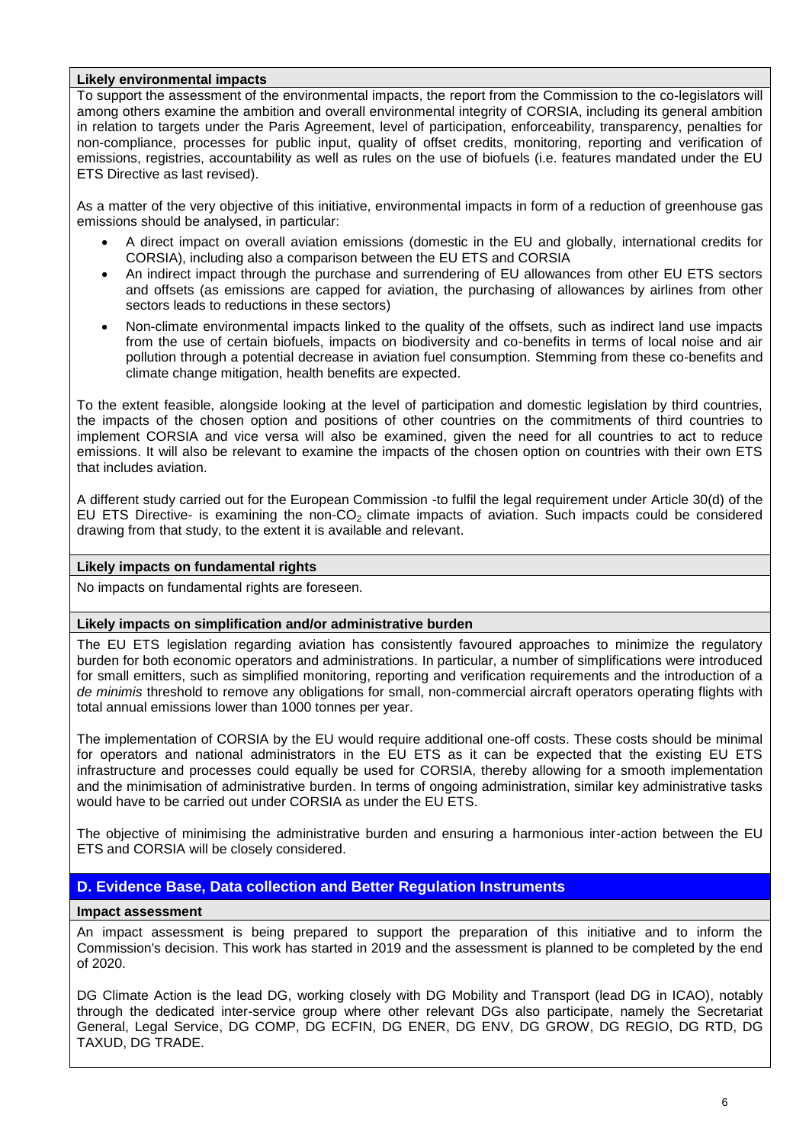#### **Likely environmental impacts**

To support the assessment of the environmental impacts, the report from the Commission to the co-legislators will among others examine the ambition and overall environmental integrity of CORSIA, including its general ambition in relation to targets under the Paris Agreement, level of participation, enforceability, transparency, penalties for non-compliance, processes for public input, quality of offset credits, monitoring, reporting and verification of emissions, registries, accountability as well as rules on the use of biofuels (i.e. features mandated under the EU ETS Directive as last revised).

As a matter of the very objective of this initiative, environmental impacts in form of a reduction of greenhouse gas emissions should be analysed, in particular:

- A direct impact on overall aviation emissions (domestic in the EU and globally, international credits for CORSIA), including also a comparison between the EU ETS and CORSIA
- An indirect impact through the purchase and surrendering of EU allowances from other EU ETS sectors and offsets (as emissions are capped for aviation, the purchasing of allowances by airlines from other sectors leads to reductions in these sectors)
- Non-climate environmental impacts linked to the quality of the offsets, such as indirect land use impacts from the use of certain biofuels, impacts on biodiversity and co-benefits in terms of local noise and air pollution through a potential decrease in aviation fuel consumption. Stemming from these co-benefits and climate change mitigation, health benefits are expected.

To the extent feasible, alongside looking at the level of participation and domestic legislation by third countries, the impacts of the chosen option and positions of other countries on the commitments of third countries to implement CORSIA and vice versa will also be examined, given the need for all countries to act to reduce emissions. It will also be relevant to examine the impacts of the chosen option on countries with their own ETS that includes aviation.

A different study carried out for the European Commission -to fulfil the legal requirement under Article 30(d) of the EU ETS Directive- is examining the non-CO<sub>2</sub> climate impacts of aviation. Such impacts could be considered drawing from that study, to the extent it is available and relevant.

#### **Likely impacts on fundamental rights**

No impacts on fundamental rights are foreseen.

# **Likely impacts on simplification and/or administrative burden**

The EU ETS legislation regarding aviation has consistently favoured approaches to minimize the regulatory burden for both economic operators and administrations. In particular, a number of simplifications were introduced for small emitters, such as simplified monitoring, reporting and verification requirements and the introduction of a *de minimis* threshold to remove any obligations for small, non-commercial aircraft operators operating flights with total annual emissions lower than 1000 tonnes per year.

The implementation of CORSIA by the EU would require additional one-off costs. These costs should be minimal for operators and national administrators in the EU ETS as it can be expected that the existing EU ETS infrastructure and processes could equally be used for CORSIA, thereby allowing for a smooth implementation and the minimisation of administrative burden. In terms of ongoing administration, similar key administrative tasks would have to be carried out under CORSIA as under the EU ETS.

The objective of minimising the administrative burden and ensuring a harmonious inter-action between the EU ETS and CORSIA will be closely considered.

# **D. Evidence Base, Data collection and Better Regulation Instruments**

#### **Impact assessment**

An impact assessment is being prepared to support the preparation of this initiative and to inform the Commission's decision. This work has started in 2019 and the assessment is planned to be completed by the end of 2020.

DG Climate Action is the lead DG, working closely with DG Mobility and Transport (lead DG in ICAO), notably through the dedicated inter-service group where other relevant DGs also participate, namely the Secretariat General, Legal Service, DG COMP, DG ECFIN, DG ENER, DG ENV, DG GROW, DG REGIO, DG RTD, DG TAXUD, DG TRADE.